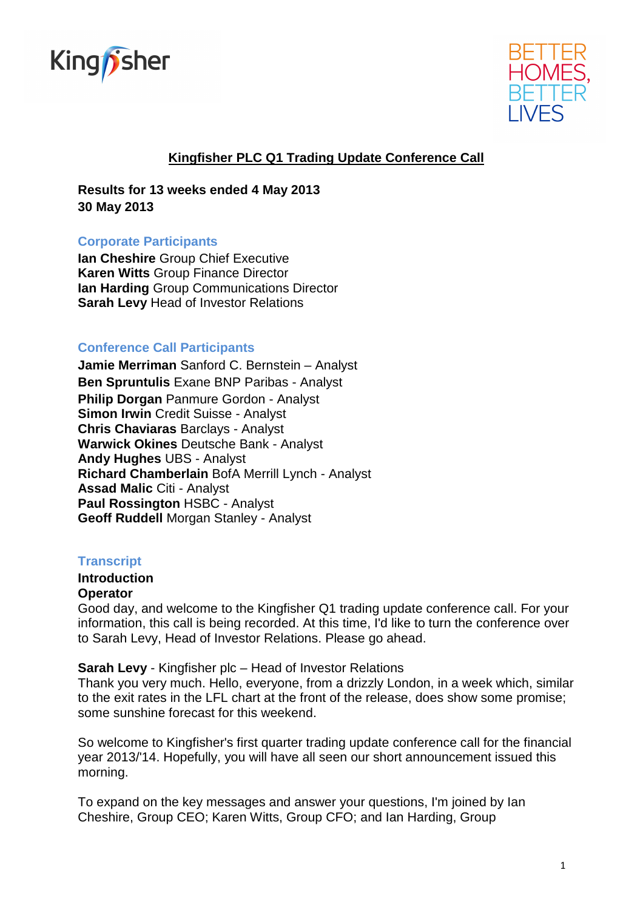



# **Kingfisher PLC Q1 Trading Update Conference Call**

**Results for 13 weeks ended 4 May 2013 30 May 2013** 

### **Corporate Participants**

**Ian Cheshire** Group Chief Executive **Karen Witts** Group Finance Director **Ian Harding** Group Communications Director **Sarah Levy** Head of Investor Relations

## **Conference Call Participants**

**Jamie Merriman** Sanford C. Bernstein – Analyst **Ben Spruntulis** Exane BNP Paribas - Analyst **Philip Dorgan** Panmure Gordon - Analyst **Simon Irwin Credit Suisse - Analyst Chris Chaviaras** Barclays - Analyst **Warwick Okines** Deutsche Bank - Analyst **Andy Hughes** UBS - Analyst **Richard Chamberlain** BofA Merrill Lynch - Analyst **Assad Malic** Citi - Analyst **Paul Rossington** HSBC - Analyst **Geoff Ruddell** Morgan Stanley - Analyst

#### **Transcript**

## **Introduction**

#### **Operator**

Good day, and welcome to the Kingfisher Q1 trading update conference call. For your information, this call is being recorded. At this time, I'd like to turn the conference over to Sarah Levy, Head of Investor Relations. Please go ahead.

**Sarah Levy** - Kingfisher plc – Head of Investor Relations Thank you very much. Hello, everyone, from a drizzly London, in a week which, similar to the exit rates in the LFL chart at the front of the release, does show some promise; some sunshine forecast for this weekend.

So welcome to Kingfisher's first quarter trading update conference call for the financial year 2013/'14. Hopefully, you will have all seen our short announcement issued this morning.

To expand on the key messages and answer your questions, I'm joined by Ian Cheshire, Group CEO; Karen Witts, Group CFO; and Ian Harding, Group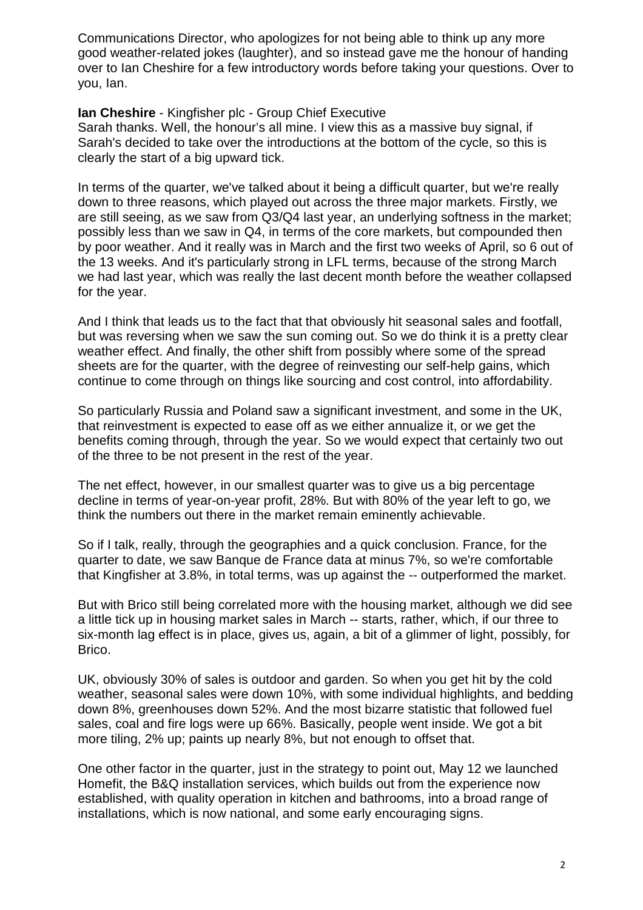Communications Director, who apologizes for not being able to think up any more good weather-related jokes (laughter), and so instead gave me the honour of handing over to Ian Cheshire for a few introductory words before taking your questions. Over to you, Ian.

### **Ian Cheshire** - Kingfisher plc - Group Chief Executive

Sarah thanks. Well, the honour's all mine. I view this as a massive buy signal, if Sarah's decided to take over the introductions at the bottom of the cycle, so this is clearly the start of a big upward tick.

In terms of the quarter, we've talked about it being a difficult quarter, but we're really down to three reasons, which played out across the three major markets. Firstly, we are still seeing, as we saw from Q3/Q4 last year, an underlying softness in the market; possibly less than we saw in Q4, in terms of the core markets, but compounded then by poor weather. And it really was in March and the first two weeks of April, so 6 out of the 13 weeks. And it's particularly strong in LFL terms, because of the strong March we had last year, which was really the last decent month before the weather collapsed for the year.

And I think that leads us to the fact that that obviously hit seasonal sales and footfall, but was reversing when we saw the sun coming out. So we do think it is a pretty clear weather effect. And finally, the other shift from possibly where some of the spread sheets are for the quarter, with the degree of reinvesting our self-help gains, which continue to come through on things like sourcing and cost control, into affordability.

So particularly Russia and Poland saw a significant investment, and some in the UK, that reinvestment is expected to ease off as we either annualize it, or we get the benefits coming through, through the year. So we would expect that certainly two out of the three to be not present in the rest of the year.

The net effect, however, in our smallest quarter was to give us a big percentage decline in terms of year-on-year profit, 28%. But with 80% of the year left to go, we think the numbers out there in the market remain eminently achievable.

So if I talk, really, through the geographies and a quick conclusion. France, for the quarter to date, we saw Banque de France data at minus 7%, so we're comfortable that Kingfisher at 3.8%, in total terms, was up against the -- outperformed the market.

But with Brico still being correlated more with the housing market, although we did see a little tick up in housing market sales in March -- starts, rather, which, if our three to six-month lag effect is in place, gives us, again, a bit of a glimmer of light, possibly, for Brico.

UK, obviously 30% of sales is outdoor and garden. So when you get hit by the cold weather, seasonal sales were down 10%, with some individual highlights, and bedding down 8%, greenhouses down 52%. And the most bizarre statistic that followed fuel sales, coal and fire logs were up 66%. Basically, people went inside. We got a bit more tiling, 2% up; paints up nearly 8%, but not enough to offset that.

One other factor in the quarter, just in the strategy to point out, May 12 we launched Homefit, the B&Q installation services, which builds out from the experience now established, with quality operation in kitchen and bathrooms, into a broad range of installations, which is now national, and some early encouraging signs.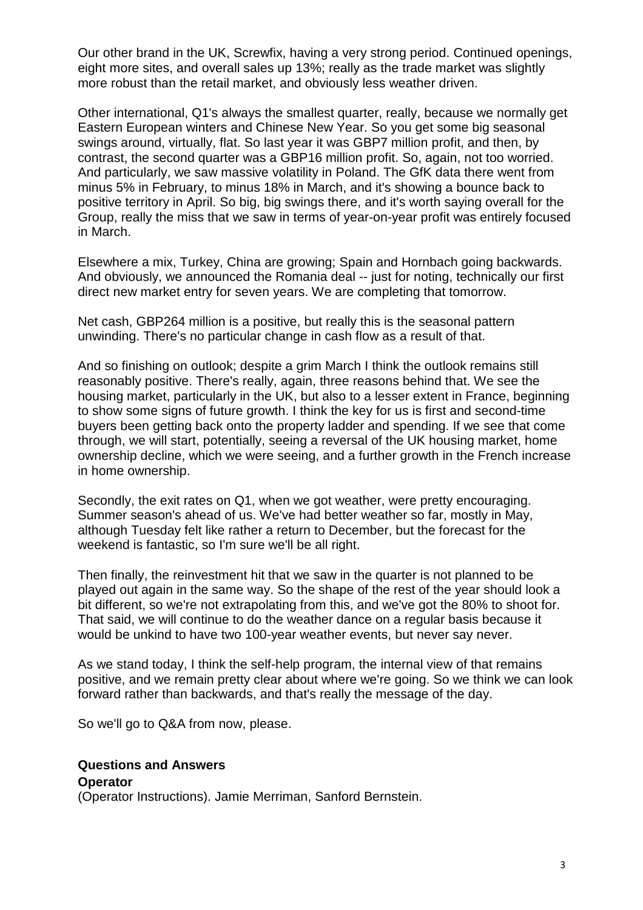Our other brand in the UK, Screwfix, having a very strong period. Continued openings, eight more sites, and overall sales up 13%; really as the trade market was slightly more robust than the retail market, and obviously less weather driven.

Other international, Q1's always the smallest quarter, really, because we normally get Eastern European winters and Chinese New Year. So you get some big seasonal swings around, virtually, flat. So last year it was GBP7 million profit, and then, by contrast, the second quarter was a GBP16 million profit. So, again, not too worried. And particularly, we saw massive volatility in Poland. The GfK data there went from minus 5% in February, to minus 18% in March, and it's showing a bounce back to positive territory in April. So big, big swings there, and it's worth saying overall for the Group, really the miss that we saw in terms of year-on-year profit was entirely focused in March.

Elsewhere a mix, Turkey, China are growing; Spain and Hornbach going backwards. And obviously, we announced the Romania deal -- just for noting, technically our first direct new market entry for seven years. We are completing that tomorrow.

Net cash, GBP264 million is a positive, but really this is the seasonal pattern unwinding. There's no particular change in cash flow as a result of that.

And so finishing on outlook; despite a grim March I think the outlook remains still reasonably positive. There's really, again, three reasons behind that. We see the housing market, particularly in the UK, but also to a lesser extent in France, beginning to show some signs of future growth. I think the key for us is first and second-time buyers been getting back onto the property ladder and spending. If we see that come through, we will start, potentially, seeing a reversal of the UK housing market, home ownership decline, which we were seeing, and a further growth in the French increase in home ownership.

Secondly, the exit rates on Q1, when we got weather, were pretty encouraging. Summer season's ahead of us. We've had better weather so far, mostly in May, although Tuesday felt like rather a return to December, but the forecast for the weekend is fantastic, so I'm sure we'll be all right.

Then finally, the reinvestment hit that we saw in the quarter is not planned to be played out again in the same way. So the shape of the rest of the year should look a bit different, so we're not extrapolating from this, and we've got the 80% to shoot for. That said, we will continue to do the weather dance on a regular basis because it would be unkind to have two 100-year weather events, but never say never.

As we stand today, I think the self-help program, the internal view of that remains positive, and we remain pretty clear about where we're going. So we think we can look forward rather than backwards, and that's really the message of the day.

So we'll go to Q&A from now, please.

#### **Questions and Answers**

#### **Operator**

(Operator Instructions). Jamie Merriman, Sanford Bernstein.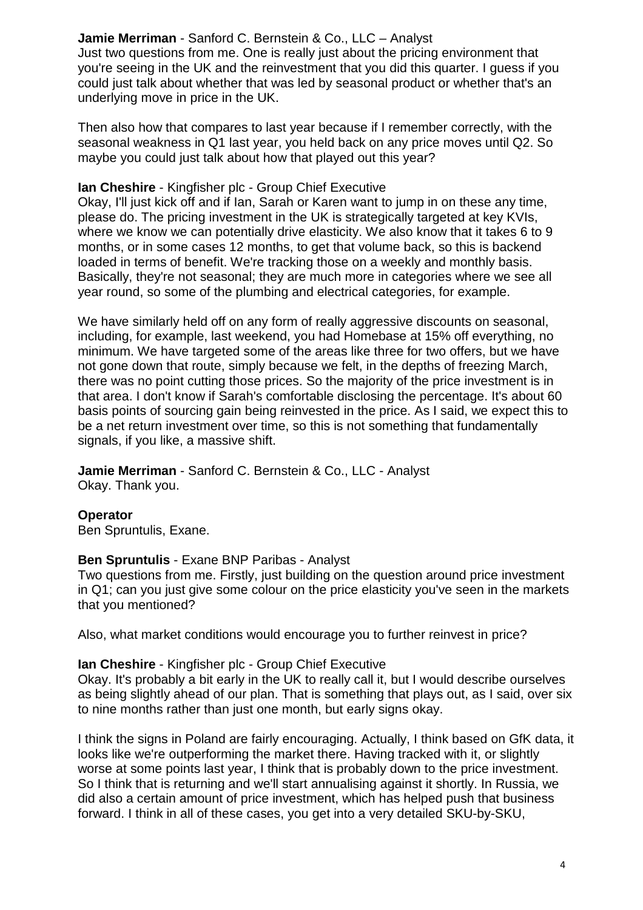# **Jamie Merriman** - Sanford C. Bernstein & Co., LLC – Analyst

Just two questions from me. One is really just about the pricing environment that you're seeing in the UK and the reinvestment that you did this quarter. I guess if you could just talk about whether that was led by seasonal product or whether that's an underlying move in price in the UK.

Then also how that compares to last year because if I remember correctly, with the seasonal weakness in Q1 last year, you held back on any price moves until Q2. So maybe you could just talk about how that played out this year?

### **Ian Cheshire** - Kingfisher plc - Group Chief Executive

Okay, I'll just kick off and if Ian, Sarah or Karen want to jump in on these any time, please do. The pricing investment in the UK is strategically targeted at key KVIs, where we know we can potentially drive elasticity. We also know that it takes 6 to 9 months, or in some cases 12 months, to get that volume back, so this is backend loaded in terms of benefit. We're tracking those on a weekly and monthly basis. Basically, they're not seasonal; they are much more in categories where we see all year round, so some of the plumbing and electrical categories, for example.

We have similarly held off on any form of really aggressive discounts on seasonal, including, for example, last weekend, you had Homebase at 15% off everything, no minimum. We have targeted some of the areas like three for two offers, but we have not gone down that route, simply because we felt, in the depths of freezing March, there was no point cutting those prices. So the majority of the price investment is in that area. I don't know if Sarah's comfortable disclosing the percentage. It's about 60 basis points of sourcing gain being reinvested in the price. As I said, we expect this to be a net return investment over time, so this is not something that fundamentally signals, if you like, a massive shift.

**Jamie Merriman** - Sanford C. Bernstein & Co., LLC - Analyst Okay. Thank you.

## **Operator**

Ben Spruntulis, Exane.

## **Ben Spruntulis** - Exane BNP Paribas - Analyst

Two questions from me. Firstly, just building on the question around price investment in Q1; can you just give some colour on the price elasticity you've seen in the markets that you mentioned?

Also, what market conditions would encourage you to further reinvest in price?

#### **Ian Cheshire** - Kingfisher plc - Group Chief Executive

Okay. It's probably a bit early in the UK to really call it, but I would describe ourselves as being slightly ahead of our plan. That is something that plays out, as I said, over six to nine months rather than just one month, but early signs okay.

I think the signs in Poland are fairly encouraging. Actually, I think based on GfK data, it looks like we're outperforming the market there. Having tracked with it, or slightly worse at some points last year, I think that is probably down to the price investment. So I think that is returning and we'll start annualising against it shortly. In Russia, we did also a certain amount of price investment, which has helped push that business forward. I think in all of these cases, you get into a very detailed SKU-by-SKU,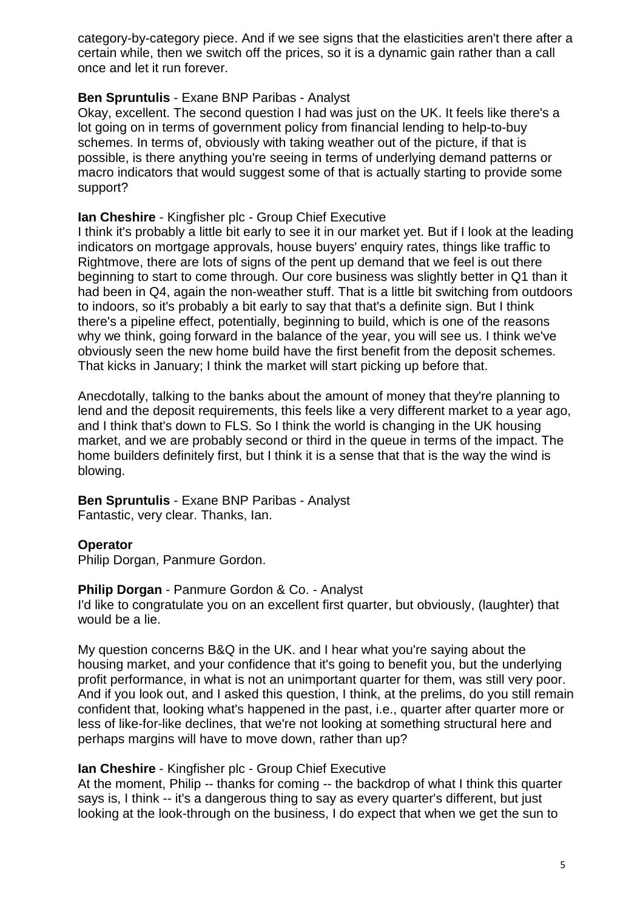category-by-category piece. And if we see signs that the elasticities aren't there after a certain while, then we switch off the prices, so it is a dynamic gain rather than a call once and let it run forever.

## **Ben Spruntulis** - Exane BNP Paribas - Analyst

Okay, excellent. The second question I had was just on the UK. It feels like there's a lot going on in terms of government policy from financial lending to help-to-buy schemes. In terms of, obviously with taking weather out of the picture, if that is possible, is there anything you're seeing in terms of underlying demand patterns or macro indicators that would suggest some of that is actually starting to provide some support?

## **Ian Cheshire** - Kingfisher plc - Group Chief Executive

I think it's probably a little bit early to see it in our market yet. But if I look at the leading indicators on mortgage approvals, house buyers' enquiry rates, things like traffic to Rightmove, there are lots of signs of the pent up demand that we feel is out there beginning to start to come through. Our core business was slightly better in Q1 than it had been in Q4, again the non-weather stuff. That is a little bit switching from outdoors to indoors, so it's probably a bit early to say that that's a definite sign. But I think there's a pipeline effect, potentially, beginning to build, which is one of the reasons why we think, going forward in the balance of the year, you will see us. I think we've obviously seen the new home build have the first benefit from the deposit schemes. That kicks in January; I think the market will start picking up before that.

Anecdotally, talking to the banks about the amount of money that they're planning to lend and the deposit requirements, this feels like a very different market to a year ago, and I think that's down to FLS. So I think the world is changing in the UK housing market, and we are probably second or third in the queue in terms of the impact. The home builders definitely first, but I think it is a sense that that is the way the wind is blowing.

**Ben Spruntulis** - Exane BNP Paribas - Analyst Fantastic, very clear. Thanks, Ian.

## **Operator**

Philip Dorgan, Panmure Gordon.

#### **Philip Dorgan** - Panmure Gordon & Co. - Analyst

I'd like to congratulate you on an excellent first quarter, but obviously, (laughter) that would be a lie.

My question concerns B&Q in the UK. and I hear what you're saying about the housing market, and your confidence that it's going to benefit you, but the underlying profit performance, in what is not an unimportant quarter for them, was still very poor. And if you look out, and I asked this question, I think, at the prelims, do you still remain confident that, looking what's happened in the past, i.e., quarter after quarter more or less of like-for-like declines, that we're not looking at something structural here and perhaps margins will have to move down, rather than up?

## **Ian Cheshire** - Kingfisher plc - Group Chief Executive

At the moment, Philip -- thanks for coming -- the backdrop of what I think this quarter says is, I think -- it's a dangerous thing to say as every quarter's different, but just looking at the look-through on the business, I do expect that when we get the sun to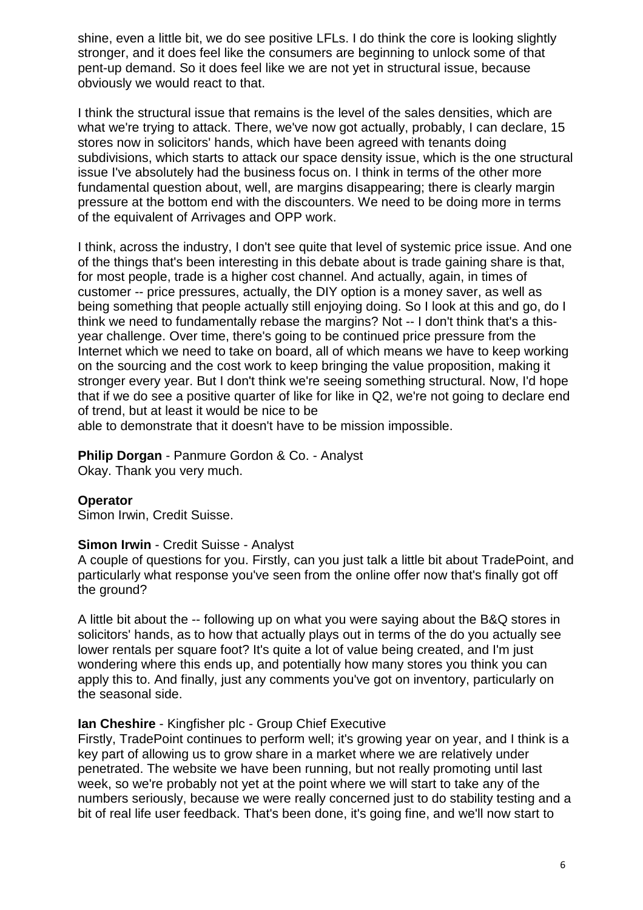shine, even a little bit, we do see positive LFLs. I do think the core is looking slightly stronger, and it does feel like the consumers are beginning to unlock some of that pent-up demand. So it does feel like we are not yet in structural issue, because obviously we would react to that.

I think the structural issue that remains is the level of the sales densities, which are what we're trying to attack. There, we've now got actually, probably, I can declare, 15 stores now in solicitors' hands, which have been agreed with tenants doing subdivisions, which starts to attack our space density issue, which is the one structural issue I've absolutely had the business focus on. I think in terms of the other more fundamental question about, well, are margins disappearing; there is clearly margin pressure at the bottom end with the discounters. We need to be doing more in terms of the equivalent of Arrivages and OPP work.

I think, across the industry, I don't see quite that level of systemic price issue. And one of the things that's been interesting in this debate about is trade gaining share is that, for most people, trade is a higher cost channel. And actually, again, in times of customer -- price pressures, actually, the DIY option is a money saver, as well as being something that people actually still enjoying doing. So I look at this and go, do I think we need to fundamentally rebase the margins? Not -- I don't think that's a thisyear challenge. Over time, there's going to be continued price pressure from the Internet which we need to take on board, all of which means we have to keep working on the sourcing and the cost work to keep bringing the value proposition, making it stronger every year. But I don't think we're seeing something structural. Now, I'd hope that if we do see a positive quarter of like for like in Q2, we're not going to declare end of trend, but at least it would be nice to be

able to demonstrate that it doesn't have to be mission impossible.

**Philip Dorgan** - Panmure Gordon & Co. - Analyst Okay. Thank you very much.

# **Operator**

Simon Irwin, Credit Suisse.

## **Simon Irwin** - Credit Suisse - Analyst

A couple of questions for you. Firstly, can you just talk a little bit about TradePoint, and particularly what response you've seen from the online offer now that's finally got off the ground?

A little bit about the -- following up on what you were saying about the B&Q stores in solicitors' hands, as to how that actually plays out in terms of the do you actually see lower rentals per square foot? It's quite a lot of value being created, and I'm just wondering where this ends up, and potentially how many stores you think you can apply this to. And finally, just any comments you've got on inventory, particularly on the seasonal side.

## **Ian Cheshire** - Kingfisher plc - Group Chief Executive

Firstly, TradePoint continues to perform well; it's growing year on year, and I think is a key part of allowing us to grow share in a market where we are relatively under penetrated. The website we have been running, but not really promoting until last week, so we're probably not yet at the point where we will start to take any of the numbers seriously, because we were really concerned just to do stability testing and a bit of real life user feedback. That's been done, it's going fine, and we'll now start to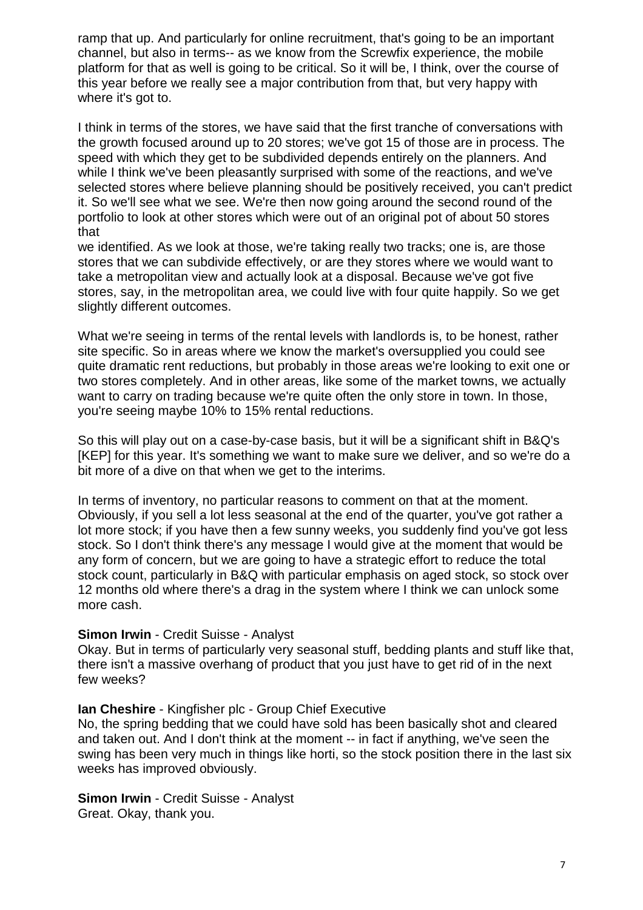ramp that up. And particularly for online recruitment, that's going to be an important channel, but also in terms-- as we know from the Screwfix experience, the mobile platform for that as well is going to be critical. So it will be, I think, over the course of this year before we really see a major contribution from that, but very happy with where it's got to.

I think in terms of the stores, we have said that the first tranche of conversations with the growth focused around up to 20 stores; we've got 15 of those are in process. The speed with which they get to be subdivided depends entirely on the planners. And while I think we've been pleasantly surprised with some of the reactions, and we've selected stores where believe planning should be positively received, you can't predict it. So we'll see what we see. We're then now going around the second round of the portfolio to look at other stores which were out of an original pot of about 50 stores that

we identified. As we look at those, we're taking really two tracks; one is, are those stores that we can subdivide effectively, or are they stores where we would want to take a metropolitan view and actually look at a disposal. Because we've got five stores, say, in the metropolitan area, we could live with four quite happily. So we get slightly different outcomes.

What we're seeing in terms of the rental levels with landlords is, to be honest, rather site specific. So in areas where we know the market's oversupplied you could see quite dramatic rent reductions, but probably in those areas we're looking to exit one or two stores completely. And in other areas, like some of the market towns, we actually want to carry on trading because we're quite often the only store in town. In those, you're seeing maybe 10% to 15% rental reductions.

So this will play out on a case-by-case basis, but it will be a significant shift in B&Q's [KEP] for this year. It's something we want to make sure we deliver, and so we're do a bit more of a dive on that when we get to the interims.

In terms of inventory, no particular reasons to comment on that at the moment. Obviously, if you sell a lot less seasonal at the end of the quarter, you've got rather a lot more stock; if you have then a few sunny weeks, you suddenly find you've got less stock. So I don't think there's any message I would give at the moment that would be any form of concern, but we are going to have a strategic effort to reduce the total stock count, particularly in B&Q with particular emphasis on aged stock, so stock over 12 months old where there's a drag in the system where I think we can unlock some more cash.

## **Simon Irwin** - Credit Suisse - Analyst

Okay. But in terms of particularly very seasonal stuff, bedding plants and stuff like that, there isn't a massive overhang of product that you just have to get rid of in the next few weeks?

#### **Ian Cheshire** - Kingfisher plc - Group Chief Executive

No, the spring bedding that we could have sold has been basically shot and cleared and taken out. And I don't think at the moment -- in fact if anything, we've seen the swing has been very much in things like horti, so the stock position there in the last six weeks has improved obviously.

**Simon Irwin** - Credit Suisse - Analyst Great. Okay, thank you.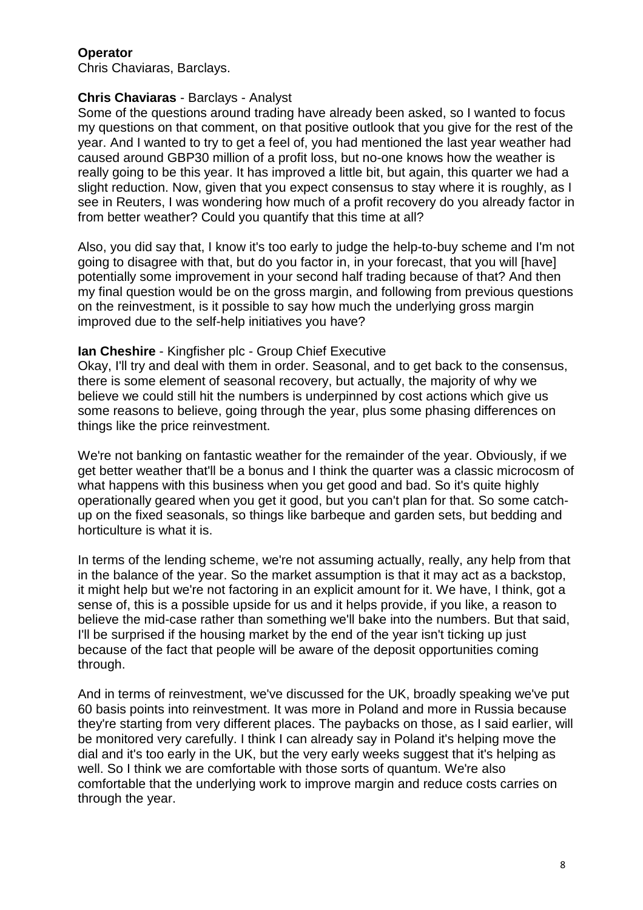## **Operator**

Chris Chaviaras, Barclays.

### **Chris Chaviaras** - Barclays - Analyst

Some of the questions around trading have already been asked, so I wanted to focus my questions on that comment, on that positive outlook that you give for the rest of the year. And I wanted to try to get a feel of, you had mentioned the last year weather had caused around GBP30 million of a profit loss, but no-one knows how the weather is really going to be this year. It has improved a little bit, but again, this quarter we had a slight reduction. Now, given that you expect consensus to stay where it is roughly, as I see in Reuters, I was wondering how much of a profit recovery do you already factor in from better weather? Could you quantify that this time at all?

Also, you did say that, I know it's too early to judge the help-to-buy scheme and I'm not going to disagree with that, but do you factor in, in your forecast, that you will [have] potentially some improvement in your second half trading because of that? And then my final question would be on the gross margin, and following from previous questions on the reinvestment, is it possible to say how much the underlying gross margin improved due to the self-help initiatives you have?

### **Ian Cheshire** - Kingfisher plc - Group Chief Executive

Okay, I'll try and deal with them in order. Seasonal, and to get back to the consensus, there is some element of seasonal recovery, but actually, the majority of why we believe we could still hit the numbers is underpinned by cost actions which give us some reasons to believe, going through the year, plus some phasing differences on things like the price reinvestment.

We're not banking on fantastic weather for the remainder of the year. Obviously, if we get better weather that'll be a bonus and I think the quarter was a classic microcosm of what happens with this business when you get good and bad. So it's quite highly operationally geared when you get it good, but you can't plan for that. So some catchup on the fixed seasonals, so things like barbeque and garden sets, but bedding and horticulture is what it is.

In terms of the lending scheme, we're not assuming actually, really, any help from that in the balance of the year. So the market assumption is that it may act as a backstop, it might help but we're not factoring in an explicit amount for it. We have, I think, got a sense of, this is a possible upside for us and it helps provide, if you like, a reason to believe the mid-case rather than something we'll bake into the numbers. But that said, I'll be surprised if the housing market by the end of the year isn't ticking up just because of the fact that people will be aware of the deposit opportunities coming through.

And in terms of reinvestment, we've discussed for the UK, broadly speaking we've put 60 basis points into reinvestment. It was more in Poland and more in Russia because they're starting from very different places. The paybacks on those, as I said earlier, will be monitored very carefully. I think I can already say in Poland it's helping move the dial and it's too early in the UK, but the very early weeks suggest that it's helping as well. So I think we are comfortable with those sorts of quantum. We're also comfortable that the underlying work to improve margin and reduce costs carries on through the year.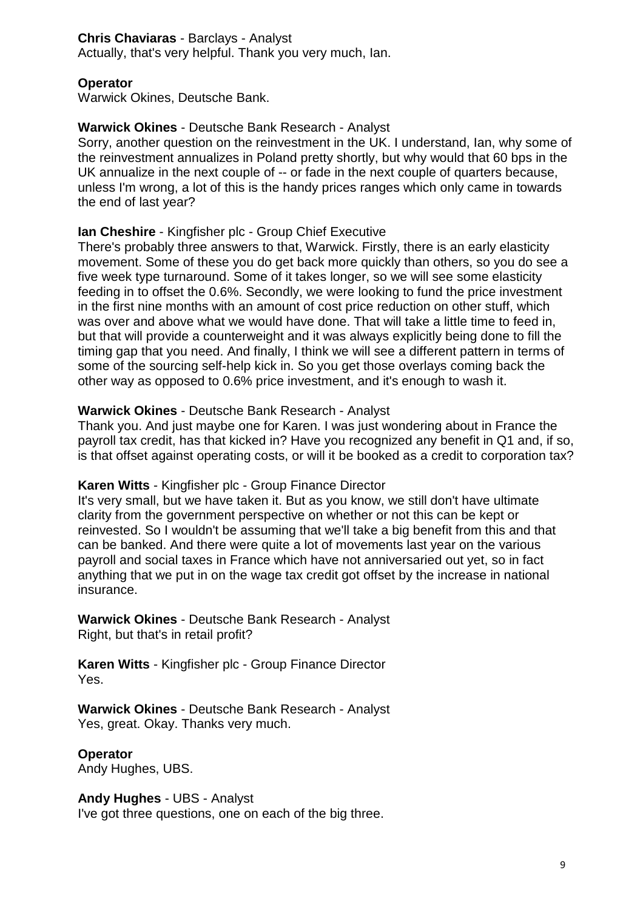### **Chris Chaviaras** - Barclays - Analyst

Actually, that's very helpful. Thank you very much, Ian.

### **Operator**

Warwick Okines, Deutsche Bank.

### **Warwick Okines** - Deutsche Bank Research - Analyst

Sorry, another question on the reinvestment in the UK. I understand, Ian, why some of the reinvestment annualizes in Poland pretty shortly, but why would that 60 bps in the UK annualize in the next couple of -- or fade in the next couple of quarters because, unless I'm wrong, a lot of this is the handy prices ranges which only came in towards the end of last year?

#### **Ian Cheshire** - Kingfisher plc - Group Chief Executive

There's probably three answers to that, Warwick. Firstly, there is an early elasticity movement. Some of these you do get back more quickly than others, so you do see a five week type turnaround. Some of it takes longer, so we will see some elasticity feeding in to offset the 0.6%. Secondly, we were looking to fund the price investment in the first nine months with an amount of cost price reduction on other stuff, which was over and above what we would have done. That will take a little time to feed in, but that will provide a counterweight and it was always explicitly being done to fill the timing gap that you need. And finally, I think we will see a different pattern in terms of some of the sourcing self-help kick in. So you get those overlays coming back the other way as opposed to 0.6% price investment, and it's enough to wash it.

### **Warwick Okines** - Deutsche Bank Research - Analyst

Thank you. And just maybe one for Karen. I was just wondering about in France the payroll tax credit, has that kicked in? Have you recognized any benefit in Q1 and, if so, is that offset against operating costs, or will it be booked as a credit to corporation tax?

#### **Karen Witts** - Kingfisher plc - Group Finance Director

It's very small, but we have taken it. But as you know, we still don't have ultimate clarity from the government perspective on whether or not this can be kept or reinvested. So I wouldn't be assuming that we'll take a big benefit from this and that can be banked. And there were quite a lot of movements last year on the various payroll and social taxes in France which have not anniversaried out yet, so in fact anything that we put in on the wage tax credit got offset by the increase in national insurance.

**Warwick Okines** - Deutsche Bank Research - Analyst Right, but that's in retail profit?

**Karen Witts** - Kingfisher plc - Group Finance Director Yes.

**Warwick Okines** - Deutsche Bank Research - Analyst Yes, great. Okay. Thanks very much.

**Operator**  Andy Hughes, UBS.

**Andy Hughes** - UBS - Analyst I've got three questions, one on each of the big three.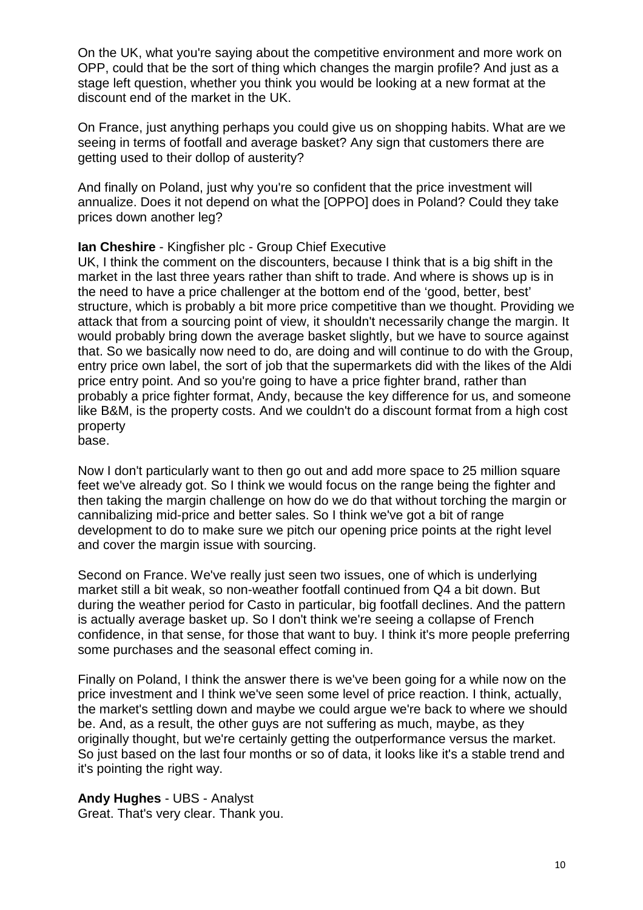On the UK, what you're saying about the competitive environment and more work on OPP, could that be the sort of thing which changes the margin profile? And just as a stage left question, whether you think you would be looking at a new format at the discount end of the market in the UK.

On France, just anything perhaps you could give us on shopping habits. What are we seeing in terms of footfall and average basket? Any sign that customers there are getting used to their dollop of austerity?

And finally on Poland, just why you're so confident that the price investment will annualize. Does it not depend on what the [OPPO] does in Poland? Could they take prices down another leg?

### **Ian Cheshire** - Kingfisher plc - Group Chief Executive

UK, I think the comment on the discounters, because I think that is a big shift in the market in the last three years rather than shift to trade. And where is shows up is in the need to have a price challenger at the bottom end of the 'good, better, best' structure, which is probably a bit more price competitive than we thought. Providing we attack that from a sourcing point of view, it shouldn't necessarily change the margin. It would probably bring down the average basket slightly, but we have to source against that. So we basically now need to do, are doing and will continue to do with the Group, entry price own label, the sort of job that the supermarkets did with the likes of the Aldi price entry point. And so you're going to have a price fighter brand, rather than probably a price fighter format, Andy, because the key difference for us, and someone like B&M, is the property costs. And we couldn't do a discount format from a high cost property

base.

Now I don't particularly want to then go out and add more space to 25 million square feet we've already got. So I think we would focus on the range being the fighter and then taking the margin challenge on how do we do that without torching the margin or cannibalizing mid-price and better sales. So I think we've got a bit of range development to do to make sure we pitch our opening price points at the right level and cover the margin issue with sourcing.

Second on France. We've really just seen two issues, one of which is underlying market still a bit weak, so non-weather footfall continued from Q4 a bit down. But during the weather period for Casto in particular, big footfall declines. And the pattern is actually average basket up. So I don't think we're seeing a collapse of French confidence, in that sense, for those that want to buy. I think it's more people preferring some purchases and the seasonal effect coming in.

Finally on Poland, I think the answer there is we've been going for a while now on the price investment and I think we've seen some level of price reaction. I think, actually, the market's settling down and maybe we could argue we're back to where we should be. And, as a result, the other guys are not suffering as much, maybe, as they originally thought, but we're certainly getting the outperformance versus the market. So just based on the last four months or so of data, it looks like it's a stable trend and it's pointing the right way.

**Andy Hughes** - UBS - Analyst Great. That's very clear. Thank you.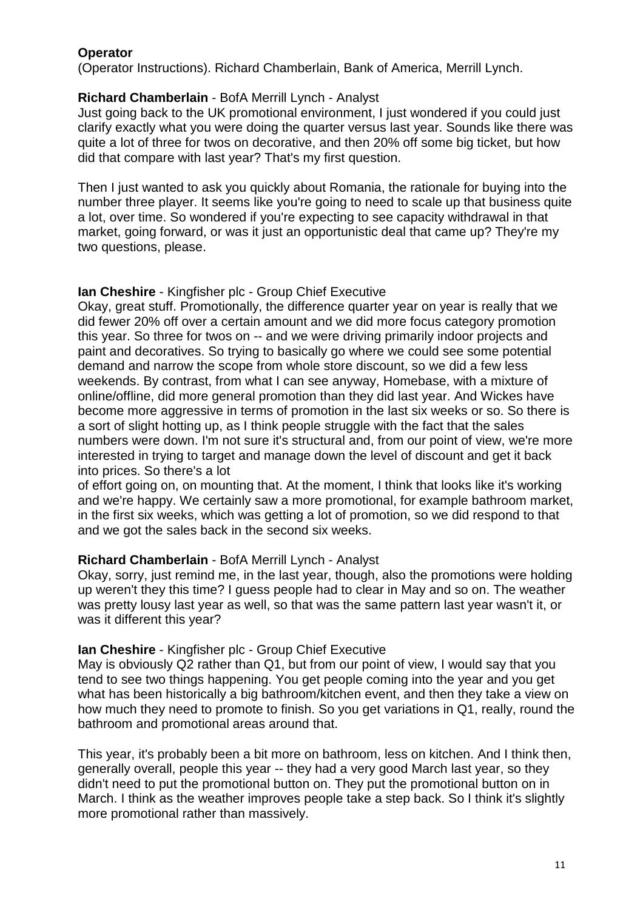## **Operator**

(Operator Instructions). Richard Chamberlain, Bank of America, Merrill Lynch.

## **Richard Chamberlain** - BofA Merrill Lynch - Analyst

Just going back to the UK promotional environment, I just wondered if you could just clarify exactly what you were doing the quarter versus last year. Sounds like there was quite a lot of three for twos on decorative, and then 20% off some big ticket, but how did that compare with last year? That's my first question.

Then I just wanted to ask you quickly about Romania, the rationale for buying into the number three player. It seems like you're going to need to scale up that business quite a lot, over time. So wondered if you're expecting to see capacity withdrawal in that market, going forward, or was it just an opportunistic deal that came up? They're my two questions, please.

### **Ian Cheshire** - Kingfisher plc - Group Chief Executive

Okay, great stuff. Promotionally, the difference quarter year on year is really that we did fewer 20% off over a certain amount and we did more focus category promotion this year. So three for twos on -- and we were driving primarily indoor projects and paint and decoratives. So trying to basically go where we could see some potential demand and narrow the scope from whole store discount, so we did a few less weekends. By contrast, from what I can see anyway, Homebase, with a mixture of online/offline, did more general promotion than they did last year. And Wickes have become more aggressive in terms of promotion in the last six weeks or so. So there is a sort of slight hotting up, as I think people struggle with the fact that the sales numbers were down. I'm not sure it's structural and, from our point of view, we're more interested in trying to target and manage down the level of discount and get it back into prices. So there's a lot

of effort going on, on mounting that. At the moment, I think that looks like it's working and we're happy. We certainly saw a more promotional, for example bathroom market, in the first six weeks, which was getting a lot of promotion, so we did respond to that and we got the sales back in the second six weeks.

#### **Richard Chamberlain** - BofA Merrill Lynch - Analyst

Okay, sorry, just remind me, in the last year, though, also the promotions were holding up weren't they this time? I guess people had to clear in May and so on. The weather was pretty lousy last year as well, so that was the same pattern last year wasn't it, or was it different this year?

#### **Ian Cheshire** - Kingfisher plc - Group Chief Executive

May is obviously Q2 rather than Q1, but from our point of view, I would say that you tend to see two things happening. You get people coming into the year and you get what has been historically a big bathroom/kitchen event, and then they take a view on how much they need to promote to finish. So you get variations in Q1, really, round the bathroom and promotional areas around that.

This year, it's probably been a bit more on bathroom, less on kitchen. And I think then, generally overall, people this year -- they had a very good March last year, so they didn't need to put the promotional button on. They put the promotional button on in March. I think as the weather improves people take a step back. So I think it's slightly more promotional rather than massively.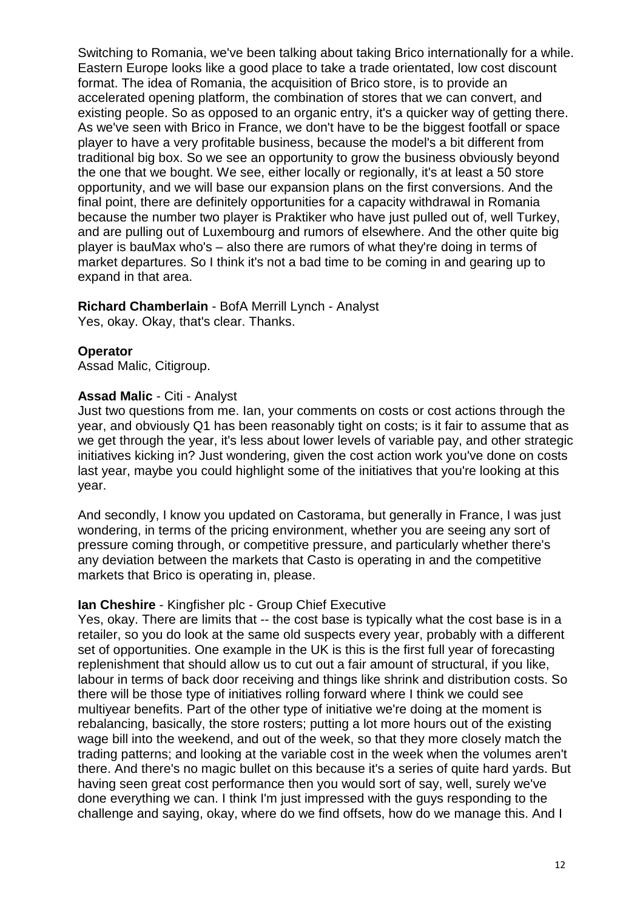Switching to Romania, we've been talking about taking Brico internationally for a while. Eastern Europe looks like a good place to take a trade orientated, low cost discount format. The idea of Romania, the acquisition of Brico store, is to provide an accelerated opening platform, the combination of stores that we can convert, and existing people. So as opposed to an organic entry, it's a quicker way of getting there. As we've seen with Brico in France, we don't have to be the biggest footfall or space player to have a very profitable business, because the model's a bit different from traditional big box. So we see an opportunity to grow the business obviously beyond the one that we bought. We see, either locally or regionally, it's at least a 50 store opportunity, and we will base our expansion plans on the first conversions. And the final point, there are definitely opportunities for a capacity withdrawal in Romania because the number two player is Praktiker who have just pulled out of, well Turkey, and are pulling out of Luxembourg and rumors of elsewhere. And the other quite big player is bauMax who's – also there are rumors of what they're doing in terms of market departures. So I think it's not a bad time to be coming in and gearing up to expand in that area.

#### **Richard Chamberlain** - BofA Merrill Lynch - Analyst Yes, okay. Okay, that's clear. Thanks.

## **Operator**

Assad Malic, Citigroup.

## **Assad Malic** - Citi - Analyst

Just two questions from me. Ian, your comments on costs or cost actions through the year, and obviously Q1 has been reasonably tight on costs; is it fair to assume that as we get through the year, it's less about lower levels of variable pay, and other strategic initiatives kicking in? Just wondering, given the cost action work you've done on costs last year, maybe you could highlight some of the initiatives that you're looking at this year.

And secondly, I know you updated on Castorama, but generally in France, I was just wondering, in terms of the pricing environment, whether you are seeing any sort of pressure coming through, or competitive pressure, and particularly whether there's any deviation between the markets that Casto is operating in and the competitive markets that Brico is operating in, please.

#### **Ian Cheshire** - Kingfisher plc - Group Chief Executive

Yes, okay. There are limits that -- the cost base is typically what the cost base is in a retailer, so you do look at the same old suspects every year, probably with a different set of opportunities. One example in the UK is this is the first full year of forecasting replenishment that should allow us to cut out a fair amount of structural, if you like, labour in terms of back door receiving and things like shrink and distribution costs. So there will be those type of initiatives rolling forward where I think we could see multiyear benefits. Part of the other type of initiative we're doing at the moment is rebalancing, basically, the store rosters; putting a lot more hours out of the existing wage bill into the weekend, and out of the week, so that they more closely match the trading patterns; and looking at the variable cost in the week when the volumes aren't there. And there's no magic bullet on this because it's a series of quite hard yards. But having seen great cost performance then you would sort of say, well, surely we've done everything we can. I think I'm just impressed with the guys responding to the challenge and saying, okay, where do we find offsets, how do we manage this. And I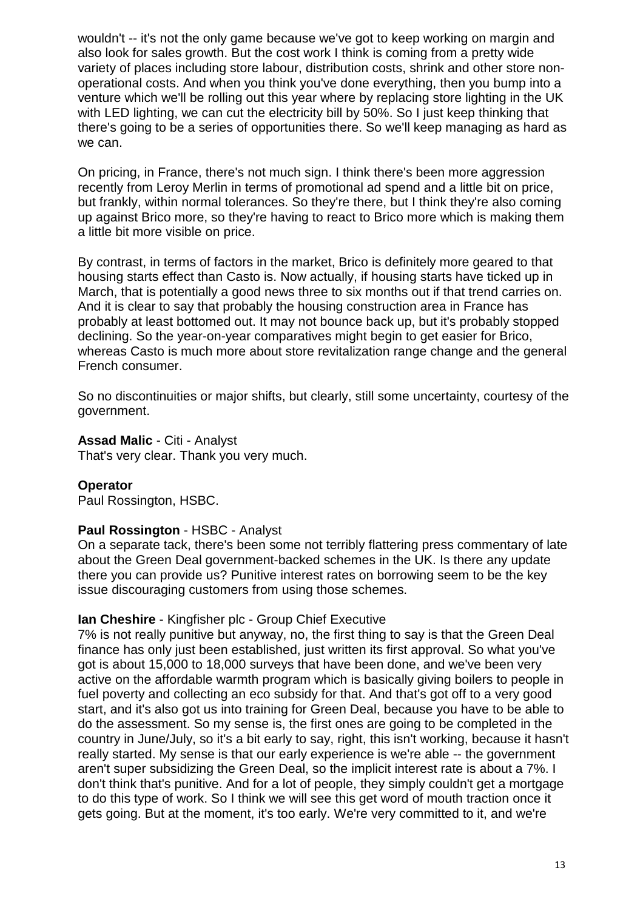wouldn't -- it's not the only game because we've got to keep working on margin and also look for sales growth. But the cost work I think is coming from a pretty wide variety of places including store labour, distribution costs, shrink and other store nonoperational costs. And when you think you've done everything, then you bump into a venture which we'll be rolling out this year where by replacing store lighting in the UK with LED lighting, we can cut the electricity bill by 50%. So I just keep thinking that there's going to be a series of opportunities there. So we'll keep managing as hard as we can.

On pricing, in France, there's not much sign. I think there's been more aggression recently from Leroy Merlin in terms of promotional ad spend and a little bit on price, but frankly, within normal tolerances. So they're there, but I think they're also coming up against Brico more, so they're having to react to Brico more which is making them a little bit more visible on price.

By contrast, in terms of factors in the market, Brico is definitely more geared to that housing starts effect than Casto is. Now actually, if housing starts have ticked up in March, that is potentially a good news three to six months out if that trend carries on. And it is clear to say that probably the housing construction area in France has probably at least bottomed out. It may not bounce back up, but it's probably stopped declining. So the year-on-year comparatives might begin to get easier for Brico, whereas Casto is much more about store revitalization range change and the general French consumer.

So no discontinuities or major shifts, but clearly, still some uncertainty, courtesy of the government.

## **Assad Malic** - Citi - Analyst

That's very clear. Thank you very much.

# **Operator**

Paul Rossington, HSBC.

## **Paul Rossington** - HSBC - Analyst

On a separate tack, there's been some not terribly flattering press commentary of late about the Green Deal government-backed schemes in the UK. Is there any update there you can provide us? Punitive interest rates on borrowing seem to be the key issue discouraging customers from using those schemes.

## **Ian Cheshire** - Kingfisher plc - Group Chief Executive

7% is not really punitive but anyway, no, the first thing to say is that the Green Deal finance has only just been established, just written its first approval. So what you've got is about 15,000 to 18,000 surveys that have been done, and we've been very active on the affordable warmth program which is basically giving boilers to people in fuel poverty and collecting an eco subsidy for that. And that's got off to a very good start, and it's also got us into training for Green Deal, because you have to be able to do the assessment. So my sense is, the first ones are going to be completed in the country in June/July, so it's a bit early to say, right, this isn't working, because it hasn't really started. My sense is that our early experience is we're able -- the government aren't super subsidizing the Green Deal, so the implicit interest rate is about a 7%. I don't think that's punitive. And for a lot of people, they simply couldn't get a mortgage to do this type of work. So I think we will see this get word of mouth traction once it gets going. But at the moment, it's too early. We're very committed to it, and we're